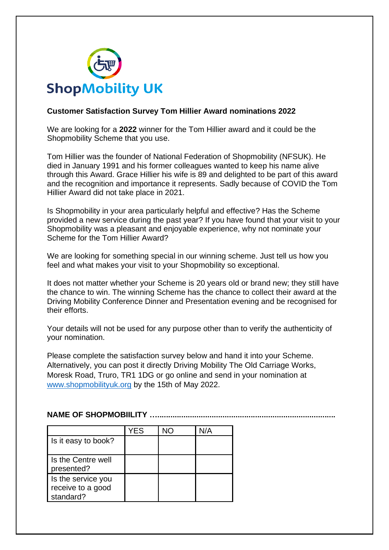

## **Customer Satisfaction Survey Tom Hillier Award nominations 2022**

We are looking for a **2022** winner for the Tom Hillier award and it could be the Shopmobility Scheme that you use.

Tom Hillier was the founder of National Federation of Shopmobility (NFSUK). He died in January 1991 and his former colleagues wanted to keep his name alive through this Award. Grace Hillier his wife is 89 and delighted to be part of this award and the recognition and importance it represents. Sadly because of COVID the Tom Hillier Award did not take place in 2021.

Is Shopmobility in your area particularly helpful and effective? Has the Scheme provided a new service during the past year? If you have found that your visit to your Shopmobility was a pleasant and enjoyable experience, why not nominate your Scheme for the Tom Hillier Award?

We are looking for something special in our winning scheme. Just tell us how you feel and what makes your visit to your Shopmobility so exceptional.

It does not matter whether your Scheme is 20 years old or brand new; they still have the chance to win. The winning Scheme has the chance to collect their award at the Driving Mobility Conference Dinner and Presentation evening and be recognised for their efforts.

Your details will not be used for any purpose other than to verify the authenticity of your nomination.

Please complete the satisfaction survey below and hand it into your Scheme. Alternatively, you can post it directly Driving Mobility The Old Carriage Works, Moresk Road, Truro, TR1 1DG or go online and send in your nomination at [www.shopmobilityuk.org](http://www.shopmobilityuk.org/) by the 15th of May 2022.

## **NAME OF SHOPMOBIILITY ..................**

|                                                      | YES |  |
|------------------------------------------------------|-----|--|
| Is it easy to book?                                  |     |  |
| Is the Centre well<br>presented?                     |     |  |
| Is the service you<br>receive to a good<br>standard? |     |  |